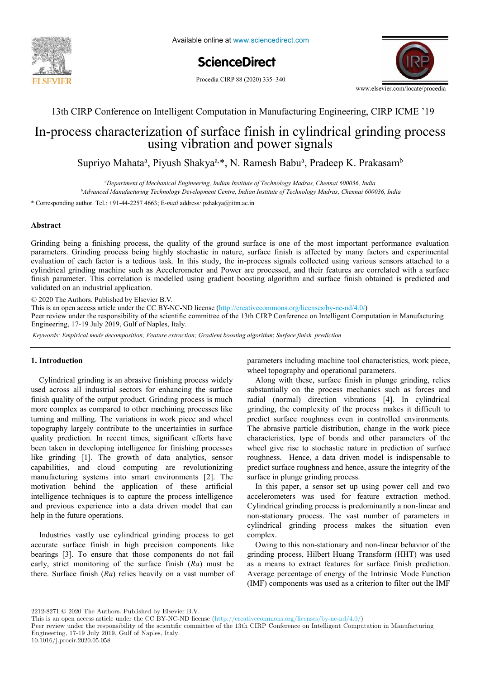



# **ScienceDirect** ScienceDirect

Procedia CIRP 88 (2020) 335-340



13th CIRP Conference on Intelligent Computation in Manufacturing Engineering, CIRP ICME '19

## In-process characterization of surface finish in cylindrical grinding process using vibration and power signals

Supriyo Mahata<sup>a</sup>, Piyush Shakya<sup>a,\*</sup>, N. Ramesh Babu<sup>a</sup>, Pradeep K. Prakasam<sup>b</sup>

<sup>a</sup>Department of Mechanical Engineering, Indian Institute of Technology Madras, Chennai 600036, India *<sup>b</sup>Advanced Manufacturing Technology Development Centre, Indian Institute of Technology Madras, Chennai 600036, India*

\* Corresponding author. Tel.: +91-44-2257 4663; E-mail address: pshakya@iitm.ac.in

#### **Abstract**

Grinding being a finishing process, the quality of the ground surface is one of the most important performance evaluation cylindrical grinding machine such as Accelerometer and Power are processed, and their features are correlated with a surface validated on an industrial application. Due to this development, the need of this development, the need of this development, the need of this development, the need of this development, the need of this development, the nee parameters. Grinding process being highly stochastic in nature, surface finish is affected by many factors and experimental evaluation of each factor is a tedious task. In this study, the in-process signals collected using various sensors attached to a finish parameter. This correlation is modelled using gradient boosting algorithm and surface finish obtained is predicted and

© 2020 The Authors. Published by Elsevier B.V.

This is an open access article under the CC BY-NC-ND license (http://creativecommons.org/licenses/by-nc-nd/4.0/)

Peer review under the responsibility of the scientific committee of the 13th CIRP Conference on Intelligent Computation in Manufacturing Engineering, 17-19 July 2019, Gulf of Naples, Italy.

Keywords: Empirical mode decomposition; Feature extraction; Gradient boosting algorithm; Surface finish prediction

#### **1. Introduction**

used across all industrial sectors for enhancing the surface substantially on the process finish quality of the output product. Grinding process is much more complex as compared to other machining processes like grinding, the complexity more complex as compared to other machining processes like turning and milling. The variations in work piece and wheel like grinding [1]. The growth of data analytics, sensor manufacturing systems into smart environments [2]. The motivation behind the application of these artificial intelligence techniques is to capture the process intelligence and previous experience into a data driven model that can help in the future operations. topography largely contribute to the uncertainties in surface quality prediction. In recent times, significant efforts have been taken in developing intelligence for finishing processes capabilities, and cloud computing are revolutionizing

Industries vastly use cylindrical grinding process to get accurate surface finish in high precision components like bearings [3]. To ensure that those components do not fail early, strict monitoring of the surface finish (*Ra*) must be there. Surface finish (*Ra*) relies heavily on a vast number of

1. Introduction **analysis is performed. Moreover, a hybrid function** parameters including machine tool characteristics, work piece, wheel topography and operational parameters.

Cylindrical grinding is an abrasive finishing process widely Along with these, surface finish in plunge grinding, relies roughness. Hence, a data driven model is indispensable to predict surface roughness and hence, assure the integrity of the surface in plunge grinding process. Along with these, surface finish in plunge grinding, relies substantially on the process mechanics such as forces and radial (normal) direction vibrations [4]. In cylindrical grinding, the complexity of the process makes it difficult to predict surface roughness even in controlled environments. The abrasive particle distribution, change in the work piece characteristics, type of bonds and other parameters of the wheel give rise to stochastic nature in prediction of surface

> In this paper, a sensor set up using power cell and two accelerometers was used for feature extraction method. Cylindrical grinding process is predominantly a non-linear and non-stationary process. The vast number of parameters in cylindrical grinding process makes the situation even  $m$  the products different matrix  $\mathbf{p}$  and  $\mathbf{p}$  matrix in two different matrix in two different matrix in two different matrix in two different matrix in two different matrix in two different matrix in two differe complex.

> Owing to this non-stationary and non-linear behavior of the grinding process, Hilbert Huang Transform (HHT) was used as a means to extract features for surface finish prediction. Average percentage of energy of the Intrinsic Mode Function (IMF) components was used as a criterion to filter out the IMF

2212-8271 © 2020 The Authors. Published by Elsevier B.V.

Peer review under the responsibility of the scientific committee of the 13th CIRP Conference on Intelligent Computation in Manufacturing Engineering, 17-19 July 2019, Gulf of Naples, Italy.<br>  $\frac{10,1912}{\cdot}$ .

This is an open access article under the CC BY-NC-ND license (http://creativecommons.org/licenses/by-nc-nd/4.0/)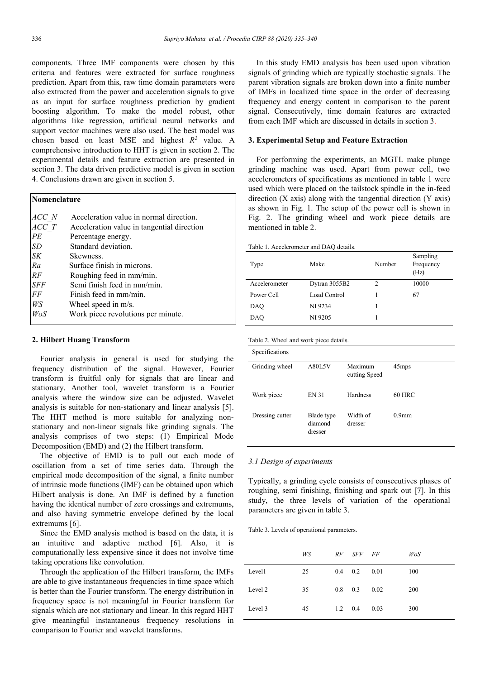components. Three IMF components were chosen by this criteria and features were extracted for surface roughness prediction. Apart from this, raw time domain parameters were also extracted from the power and acceleration signals to give as an input for surface roughness prediction by gradient boosting algorithm. To make the model robust, other algorithms like regression, artificial neural networks and support vector machines were also used. The best model was chosen based on least MSE and highest  $R^2$  value. A comprehensive introduction to HHT is given in section 2. The experimental details and feature extraction are presented in section 3. The data driven predictive model is given in section 4. Conclusions drawn are given in section 5.

#### **Nomenclature**

| ACC N      | Acceleration value in normal direction.    |
|------------|--------------------------------------------|
| ACC T      | Acceleration value in tangential direction |
| PE         | Percentage energy.                         |
| SD         | Standard deviation.                        |
| <b>SK</b>  | Skewness.                                  |
| Ra         | Surface finish in microns.                 |
| RF         | Roughing feed in mm/min.                   |
| <b>SFF</b> | Semi finish feed in mm/min.                |
| FF         | Finish feed in mm/min.                     |
| WS         | Wheel speed in m/s.                        |
| WoS        | Work piece revolutions per minute.         |
|            |                                            |

#### **2. Hilbert Huang Transform**

 Fourier analysis in general is used for studying the frequency distribution of the signal. However, Fourier transform is fruitful only for signals that are linear and stationary. Another tool, wavelet transform is a Fourier analysis where the window size can be adjusted. Wavelet analysis is suitable for non-stationary and linear analysis [5]. The HHT method is more suitable for analyzing nonstationary and non-linear signals like grinding signals. The analysis comprises of two steps: (1) Empirical Mode Decomposition (EMD) and (2) the Hilbert transform.

 The objective of EMD is to pull out each mode of oscillation from a set of time series data. Through the empirical mode decomposition of the signal, a finite number of intrinsic mode functions (IMF) can be obtained upon which Hilbert analysis is done. An IMF is defined by a function having the identical number of zero crossings and extremums, and also having symmetric envelope defined by the local extremums [6].

 Since the EMD analysis method is based on the data, it is an intuitive and adaptive method [6]. Also, it is computationally less expensive since it does not involve time taking operations like convolution.

 Through the application of the Hilbert transform, the IMFs are able to give instantaneous frequencies in time space which is better than the Fourier transform. The energy distribution in frequency space is not meaningful in Fourier transform for signals which are not stationary and linear. In this regard HHT give meaningful instantaneous frequency resolutions in comparison to Fourier and wavelet transforms.

 In this study EMD analysis has been used upon vibration signals of grinding which are typically stochastic signals. The parent vibration signals are broken down into a finite number of IMFs in localized time space in the order of decreasing frequency and energy content in comparison to the parent signal. Consecutively, time domain features are extracted from each IMF which are discussed in details in section 3.

#### **3. Experimental Setup and Feature Extraction**

 For performing the experiments, an MGTL make plunge grinding machine was used. Apart from power cell, two accelerometers of specifications as mentioned in table 1 were used which were placed on the tailstock spindle in the in-feed direction  $(X \text{ axis})$  along with the tangential direction  $(Y \text{ axis})$ as shown in Fig. 1. The setup of the power cell is shown in Fig. 2. The grinding wheel and work piece details are mentioned in table 2.

| Type          | Make          | Number | Sampling<br>Frequency<br>(Hz) |
|---------------|---------------|--------|-------------------------------|
| Accelerometer | Dytran 3055B2 | 2      | 10000                         |
| Power Cell    | Load Control  |        | 67                            |
| <b>DAO</b>    | NI 9234       |        |                               |
| <b>DAO</b>    | NI 9205       |        |                               |

| Table 2. Wheel and work piece details. |  |  |  |  |  |
|----------------------------------------|--|--|--|--|--|
|----------------------------------------|--|--|--|--|--|

| Specifications  |                                  |                          |                   |
|-----------------|----------------------------------|--------------------------|-------------------|
| Grinding wheel  | A80L5V                           | Maximum<br>cutting Speed | 45 <sub>mps</sub> |
| Work piece      | <b>EN 31</b>                     | Hardness                 | $60$ HRC          |
| Dressing cutter | Blade type<br>diamond<br>dresser | Width of<br>dresser      | 0.9 <sub>mm</sub> |

#### *3.1 Design of experiments*

Typically, a grinding cycle consists of consecutives phases of roughing, semi finishing, finishing and spark out [7]. In this study, the three levels of variation of the operational parameters are given in table 3.

Table 3. Levels of operational parameters.

|         | WS |                 | RF SFF FF |      | WoS |
|---------|----|-----------------|-----------|------|-----|
| Level1  | 25 | 0.4             | 0.2       | 0.01 | 100 |
| Level 2 | 35 | 0.8             | 0.3       | 0.02 | 200 |
| Level 3 | 45 | $1.2 \quad 0.4$ |           | 0.03 | 300 |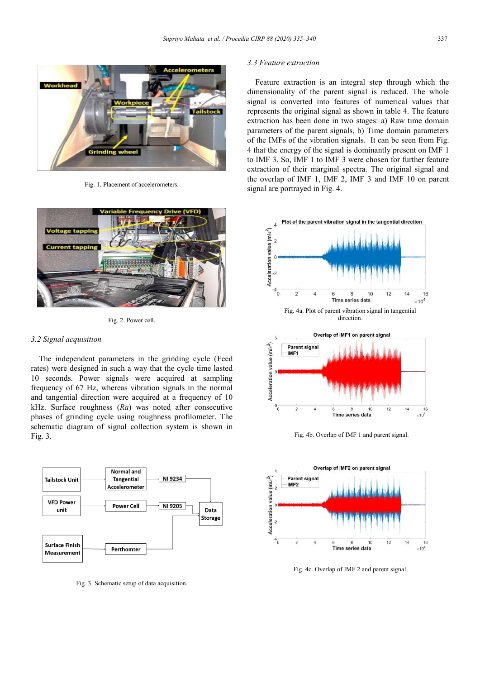

Fig. 1. Placement of accelerometers.



Fig. 2. Power cell.

#### *3.2 Signal acquisition*

 The independent parameters in the grinding cycle (Feed rates) were designed in such a way that the cycle time lasted 10 seconds. Power signals were acquired at sampling frequency of 67 Hz, whereas vibration signals in the normal and tangential direction were acquired at a frequency of 10 kHz. Surface roughness (*Ra*) was noted after consecutive phases of grinding cycle using roughness profilometer. The schematic diagram of signal collection system is shown in Fig. 3.



Fig. 3. Schematic setup of data acquisition.

#### *3.3 Feature extraction*

 Feature extraction is an integral step through which the dimensionality of the parent signal is reduced. The whole signal is converted into features of numerical values that represents the original signal as shown in table 4. The feature extraction has been done in two stages: a) Raw time domain parameters of the parent signals, b) Time domain parameters of the IMFs of the vibration signals. It can be seen from Fig. 4 that the energy of the signal is dominantly present on IMF 1 to IMF 3. So, IMF 1 to IMF 3 were chosen for further feature extraction of their marginal spectra. The original signal and the overlap of IMF 1, IMF 2, IMF 3 and IMF 10 on parent signal are portrayed in Fig. 4.



Fig. 4b. Overlap of IMF 1 and parent signal.



Fig. 4c. Overlap of IMF 2 and parent signal.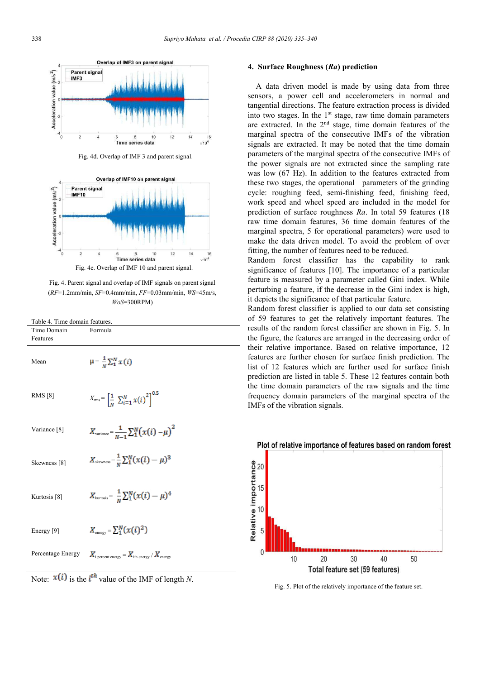

Fig. 4d. Overlap of IMF 3 and parent signal.



Fig. 4. Parent signal and overlap of IMF signals on parent signal (*RF*=1.2mm/min, *SF*=0.4mm/min, *FF*=0.03mm/min, *WS*=45m/s, *WoS*=300RPM)

Table 4. Time domain features.

Formula

Time Domain

| Features                |                                                                           |
|-------------------------|---------------------------------------------------------------------------|
| Mean                    | $\mu = \frac{1}{N} \sum_{i=1}^{N} x(i)$                                   |
| <b>RMS</b> [8]          | $X_{rms} = \left[\frac{1}{N} \sum_{i=1}^{N} x(i)\right]^{0.5}$            |
| Variance <sup>[8]</sup> | $X_{\text{variance}} = \frac{1}{m-1} \sum_{i=1}^{N} (x(i) - \mu)^2$       |
| Skewness [8]            | $X_{\text{skewness}} = \frac{1}{N} \sum_{i=1}^{N} (x(i) - \mu)^3$         |
| Kurtosis <sup>[8]</sup> | $X_{\text{kurtosis}} = \frac{1}{N} \sum_{i=1}^{N} (x(i) - \mu)^4$         |
| Energy [9]              | $X_{\text{energy}} = \sum_{i=1}^{N} (x(i)^2)$                             |
| Percentage Energy       | $X_{\text{i percent energy}} = X_{\text{ith energy}} / X_{\text{energy}}$ |



### **4. Surface Roughness (***Ra***) prediction**

 A data driven model is made by using data from three sensors, a power cell and accelerometers in normal and tangential directions. The feature extraction process is divided into two stages. In the  $1<sup>st</sup>$  stage, raw time domain parameters are extracted. In the  $2<sup>nd</sup>$  stage, time domain features of the marginal spectra of the consecutive IMFs of the vibration signals are extracted. It may be noted that the time domain parameters of the marginal spectra of the consecutive IMFs of the power signals are not extracted since the sampling rate was low (67 Hz). In addition to the features extracted from these two stages, the operational parameters of the grinding cycle: roughing feed, semi-finishing feed, finishing feed, work speed and wheel speed are included in the model for prediction of surface roughness *Ra*. In total 59 features (18 raw time domain features, 36 time domain features of the marginal spectra, 5 for operational parameters) were used to make the data driven model. To avoid the problem of over fitting, the number of features need to be reduced.

Random forest classifier has the capability to rank significance of features [10]. The importance of a particular feature is measured by a parameter called Gini index. While perturbing a feature, if the decrease in the Gini index is high, it depicts the significance of that particular feature.

Random forest classifier is applied to our data set consisting of 59 features to get the relatively important features. The results of the random forest classifier are shown in Fig. 5. In the figure, the features are arranged in the decreasing order of their relative importance. Based on relative importance, 12 features are further chosen for surface finish prediction. The list of 12 features which are further used for surface finish prediction are listed in table 5. These 12 features contain both the time domain parameters of the raw signals and the time frequency domain parameters of the marginal spectra of the IMFs of the vibration signals.



Plot of relative importance of features based on random forest

Fig. 5. Plot of the relatively importance of the feature set.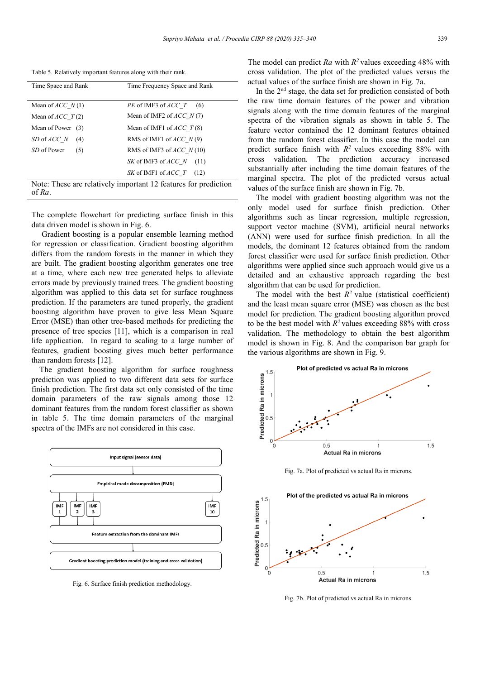Table 5. Relatively important features along with their rank.

| Time Space and Rank  | Time Frequency Space and Rank                                   |
|----------------------|-----------------------------------------------------------------|
| Mean of $ACC$ $N(1)$ | <i>PE</i> of IMF3 of <i>ACC</i> T (6)                           |
| Mean of $ACC$ $T(2)$ | Mean of IMF2 of $ACC$ N(7)                                      |
| Mean of Power<br>(3) | Mean of IMF1 of $ACC$ $T(8)$                                    |
| SD of ACC N<br>(4)   | RMS of IMF1 of $ACC$ N(9)                                       |
| SD of Power<br>(5)   | RMS of IMF3 of $ACC$ N(10)                                      |
|                      | SK of IMF3 of <i>ACC</i> N<br>(11)                              |
|                      | SK of IMF1 of <i>ACC</i> T<br>(12)                              |
|                      | Note: These are relatively important 12 features for prediction |
| of Ra                |                                                                 |

The complete flowchart for predicting surface finish in this data driven model is shown in Fig. 6.

 Gradient boosting is a popular ensemble learning method for regression or classification. Gradient boosting algorithm differs from the random forests in the manner in which they are built. The gradient boosting algorithm generates one tree at a time, where each new tree generated helps to alleviate errors made by previously trained trees. The gradient boosting algorithm was applied to this data set for surface roughness prediction. If the parameters are tuned properly, the gradient boosting algorithm have proven to give less Mean Square Error (MSE) than other tree-based methods for predicting the presence of tree species [11], which is a comparison in real life application. In regard to scaling to a large number of features, gradient boosting gives much better performance than random forests [12].

 The gradient boosting algorithm for surface roughness prediction was applied to two different data sets for surface finish prediction. The first data set only consisted of the time domain parameters of the raw signals among those 12 dominant features from the random forest classifier as shown in table 5. The time domain parameters of the marginal spectra of the IMFs are not considered in this case.



Fig. 6. Surface finish prediction methodology.

The model can predict  $Ra$  with  $R^2$  values exceeding 48% with cross validation. The plot of the predicted values versus the actual values of the surface finish are shown in Fig. 7a.

In the 2<sup>nd</sup> stage, the data set for prediction consisted of both the raw time domain features of the power and vibration signals along with the time domain features of the marginal spectra of the vibration signals as shown in table 5. The feature vector contained the 12 dominant features obtained from the random forest classifier. In this case the model can predict surface finish with  $R^2$  values exceeding 88% with cross validation. The prediction accuracy increased substantially after including the time domain features of the marginal spectra. The plot of the predicted versus actual values of the surface finish are shown in Fig. 7b.

 The model with gradient boosting algorithm was not the only model used for surface finish prediction. Other algorithms such as linear regression, multiple regression, support vector machine (SVM), artificial neural networks (ANN) were used for surface finish prediction. In all the models, the dominant 12 features obtained from the random forest classifier were used for surface finish prediction. Other algorithms were applied since such approach would give us a detailed and an exhaustive approach regarding the best algorithm that can be used for prediction.

The model with the best  $R^2$  value (statistical coefficient) and the least mean square error (MSE) was chosen as the best model for prediction. The gradient boosting algorithm proved to be the best model with  $R^2$  values exceeding 88% with cross validation. The methodology to obtain the best algorithm model is shown in Fig. 8. And the comparison bar graph for the various algorithms are shown in Fig. 9.



Fig. 7a. Plot of predicted vs actual Ra in microns.



Fig. 7b. Plot of predicted vs actual Ra in microns.